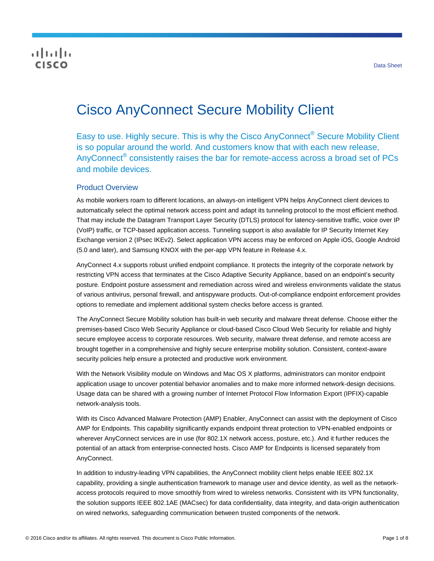## **CISCO**

# Cisco AnyConnect Secure Mobility Client

Easy to use. Highly secure. This is why the Cisco AnyConnect<sup>®</sup> Secure Mobility Client is so popular around the world. And customers know that with each new release, AnyConnect<sup>®</sup> consistently raises the bar for remote-access across a broad set of PCs and mobile devices.

## Product Overview

As mobile workers roam to different locations, an always-on intelligent VPN helps AnyConnect client devices to automatically select the optimal network access point and adapt its tunneling protocol to the most efficient method. That may include the Datagram Transport Layer Security (DTLS) protocol for latency-sensitive traffic, voice over IP (VoIP) traffic, or TCP-based application access. Tunneling support is also available for IP Security Internet Key Exchange version 2 (IPsec IKEv2). Select application VPN access may be enforced on Apple iOS, Google Android (5.0 and later), and Samsung KNOX with the per-app VPN feature in Release 4.x.

AnyConnect 4.x supports robust unified endpoint compliance. It protects the integrity of the corporate network by restricting VPN access that terminates at the Cisco Adaptive Security Appliance, based on an endpoint's security posture. Endpoint posture assessment and remediation across wired and wireless environments validate the status of various antivirus, personal firewall, and antispyware products. Out-of-compliance endpoint enforcement provides options to remediate and implement additional system checks before access is granted.

The AnyConnect Secure Mobility solution has built-in web security and malware threat defense. Choose either the premises-based Cisco Web Security Appliance or cloud-based Cisco Cloud Web Security for reliable and highly secure employee access to corporate resources. Web security, malware threat defense, and remote access are brought together in a comprehensive and highly secure enterprise mobility solution. Consistent, context-aware security policies help ensure a protected and productive work environment.

With the Network Visibility module on Windows and Mac OS X platforms, administrators can monitor endpoint application usage to uncover potential behavior anomalies and to make more informed network-design decisions. Usage data can be shared with a growing number of Internet Protocol Flow Information Export (IPFIX)-capable network-analysis tools.

With its Cisco Advanced Malware Protection (AMP) Enabler, AnyConnect can assist with the deployment of Cisco AMP for Endpoints. This capability significantly expands endpoint threat protection to VPN-enabled endpoints or wherever AnyConnect services are in use (for 802.1X network access, posture, etc.). And it further reduces the potential of an attack from enterprise-connected hosts. Cisco AMP for Endpoints is licensed separately from AnyConnect.

In addition to industry-leading VPN capabilities, the AnyConnect mobility client helps enable IEEE 802.1X capability, providing a single authentication framework to manage user and device identity, as well as the networkaccess protocols required to move smoothly from wired to wireless networks. Consistent with its VPN functionality, the solution supports IEEE 802.1AE (MACsec) for data confidentiality, data integrity, and data-origin authentication on wired networks, safeguarding communication between trusted components of the network.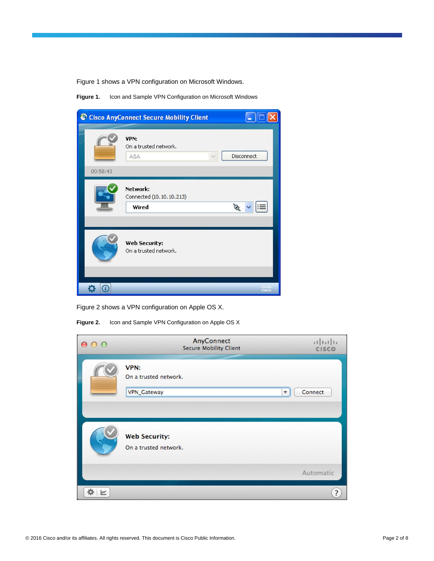Figure 1 shows a VPN configuration on Microsoft Windows.

**Figure 1.** Icon and Sample VPN Configuration on Microsoft Windows

|          | Cisco AnyConnect Secure Mobility Client       | E                 |
|----------|-----------------------------------------------|-------------------|
| 00:58:43 | VPN:<br>On a trusted network.<br>ASA          | <b>Disconnect</b> |
|          | Network:<br>Connected (10.10.10.213)<br>Wired | S                 |
|          | Web Security:<br>On a trusted network.        |                   |
|          |                                               | 11.11<br>C15CD    |

Figure 2 shows a VPN configuration on Apple OS X.

**Figure 2.** Icon and Sample VPN Configuration on Apple OS X

| 0 <sup>o</sup><br>$\bigcap$ | AnyConnect<br><b>Secure Mobility Client</b>   | $\frac{1}{2}$<br><b>CISCO</b>      |
|-----------------------------|-----------------------------------------------|------------------------------------|
|                             | VPN:<br>On a trusted network.<br>VPN_Gateway  | Connect<br>$\overline{\mathbf{v}}$ |
|                             | <b>Web Security:</b><br>On a trusted network. |                                    |
|                             |                                               | Automatic                          |
|                             |                                               | ?                                  |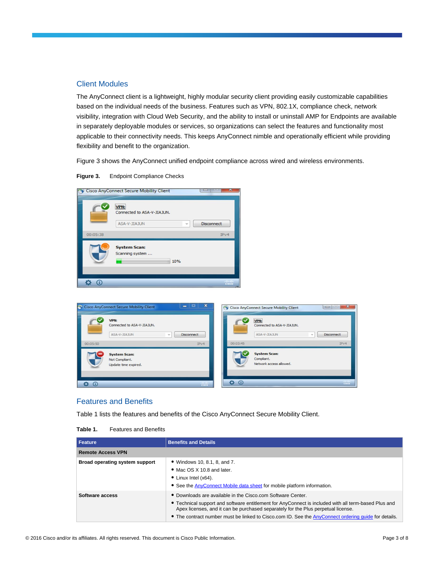## Client Modules

The AnyConnect client is a lightweight, highly modular security client providing easily customizable capabilities based on the individual needs of the business. Features such as VPN, 802.1X, compliance check, network visibility, integration with Cloud Web Security, and the ability to install or uninstall AMP for Endpoints are available in separately deployable modules or services, so organizations can select the features and functionality most applicable to their connectivity needs. This keeps AnyConnect nimble and operationally efficient while providing flexibility and benefit to the organization.

Figure 3 shows the AnyConnect unified endpoint compliance across wired and wireless environments.

**Figure 3.** Endpoint Compliance Checks

|          | VPN:<br>Connected to ASA-V-JIAJUN.<br>ASA-V-JIAJUN<br>w | <b>Disconnect</b> |
|----------|---------------------------------------------------------|-------------------|
| 00:05:38 |                                                         | IPv4              |
|          | <b>System Scan:</b><br>Scanning system<br>10%           |                   |

|          | <b>VPN:</b><br>Connected to ASA-V-JIAJUN.<br>ASA-V-JIAJUN<br><b>Disconnect</b><br>$\sim$ | VPN:<br>Connected to ASA-V-JIAJUN.<br>ASA-V-JIAJUN<br>$\sim$ | Disconnect |
|----------|------------------------------------------------------------------------------------------|--------------------------------------------------------------|------------|
| 00:05:50 | IPv4                                                                                     | 00:03:45                                                     | IPv4       |
|          | <b>System Scan:</b><br>Not Compliant.<br>Update time expired.                            | <b>System Scan:</b><br>Compliant.<br>Network access allowed. |            |

## Features and Benefits

Table 1 lists the features and benefits of the Cisco AnyConnect Secure Mobility Client.

| <b>Feature</b>                 | <b>Benefits and Details</b>                                                                                                                                                                                                                                                                                                                                      |
|--------------------------------|------------------------------------------------------------------------------------------------------------------------------------------------------------------------------------------------------------------------------------------------------------------------------------------------------------------------------------------------------------------|
| <b>Remote Access VPN</b>       |                                                                                                                                                                                                                                                                                                                                                                  |
| Broad operating system support | • Windows 10, 8.1, 8, and 7.<br>• Mac OS X 10.8 and later.<br>• Linux Intel $(x64)$ .<br>• See the AnyConnect Mobile data sheet for mobile platform information.                                                                                                                                                                                                 |
| Software access                | • Downloads are available in the Cisco.com Software Center.<br>• Technical support and software entitlement for AnyConnect is included with all term-based Plus and<br>Apex licenses, and it can be purchased separately for the Plus perpetual license.<br>• The contract number must be linked to Cisco.com ID. See the AnyConnect ordering quide for details. |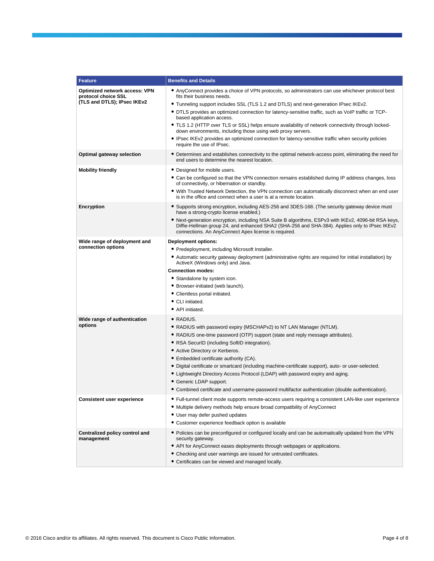| <b>Feature</b>                                                                      | <b>Benefits and Details</b>                                                                                                                                                                                                                                                                                                                                                                                                                                                                                                                                                                                                                                           |
|-------------------------------------------------------------------------------------|-----------------------------------------------------------------------------------------------------------------------------------------------------------------------------------------------------------------------------------------------------------------------------------------------------------------------------------------------------------------------------------------------------------------------------------------------------------------------------------------------------------------------------------------------------------------------------------------------------------------------------------------------------------------------|
| Optimized network access: VPN<br>protocol choice SSL<br>(TLS and DTLS); IPsec IKEv2 | • AnyConnect provides a choice of VPN protocols, so administrators can use whichever protocol best<br>fits their business needs.<br>• Tunneling support includes SSL (TLS 1.2 and DTLS) and next-generation IPsec IKEv2.<br>• DTLS provides an optimized connection for latency-sensitive traffic, such as VoIP traffic or TCP-<br>based application access.<br>• TLS 1.2 (HTTP over TLS or SSL) helps ensure availability of network connectivity through locked-<br>down environments, including those using web proxy servers.<br>• IPsec IKEv2 provides an optimized connection for latency-sensitive traffic when security policies<br>require the use of IPsec. |
| Optimal gateway selection                                                           | • Determines and establishes connectivity to the optimal network-access point, eliminating the need for<br>end users to determine the nearest location.                                                                                                                                                                                                                                                                                                                                                                                                                                                                                                               |
| <b>Mobility friendly</b>                                                            | • Designed for mobile users.<br>• Can be configured so that the VPN connection remains established during IP address changes, loss<br>of connectivity, or hibernation or standby.<br>• With Trusted Network Detection, the VPN connection can automatically disconnect when an end user<br>is in the office and connect when a user is at a remote location.                                                                                                                                                                                                                                                                                                          |
| Encryption                                                                          | • Supports strong encryption, including AES-256 and 3DES-168. (The security gateway device must<br>have a strong-crypto license enabled.)<br>• Next-generation encryption, including NSA Suite B algorithms, ESPv3 with IKEv2, 4096-bit RSA keys,<br>Diffie-Hellman group 24, and enhanced SHA2 (SHA-256 and SHA-384). Applies only to IPsec IKEv2<br>connections. An AnyConnect Apex license is required.                                                                                                                                                                                                                                                            |
| Wide range of deployment and<br>connection options                                  | <b>Deployment options:</b><br>• Predeployment, including Microsoft Installer.<br>• Automatic security gateway deployment (administrative rights are required for initial installation) by<br>ActiveX (Windows only) and Java.<br><b>Connection modes:</b><br>• Standalone by system icon.<br>• Browser-initiated (web launch).<br>• Clientless portal initiated.<br>• CLI initiated.<br>• API initiated.                                                                                                                                                                                                                                                              |
| Wide range of authentication<br>options                                             | • RADIUS.<br>• RADIUS with password expiry (MSCHAPv2) to NT LAN Manager (NTLM).<br>• RADIUS one-time password (OTP) support (state and reply message attributes).<br>• RSA SecurID (including SoftID integration).<br>• Active Directory or Kerberos.<br>• Embedded certificate authority (CA).<br>• Digital certificate or smartcard (including machine-certificate support), auto- or user-selected.<br>• Lightweight Directory Access Protocol (LDAP) with password expiry and aging.<br>• Generic LDAP support.<br>• Combined certificate and username-password multifactor authentication (double authentication).                                               |
| <b>Consistent user experience</b>                                                   | • Full-tunnel client mode supports remote-access users requiring a consistent LAN-like user experience<br>• Multiple delivery methods help ensure broad compatibility of AnyConnect<br>• User may defer pushed updates<br>• Customer experience feedback option is available                                                                                                                                                                                                                                                                                                                                                                                          |
| Centralized policy control and<br>management                                        | • Policies can be preconfigured or configured locally and can be automatically updated from the VPN<br>security gateway.<br>• API for AnyConnect eases deployments through webpages or applications.<br>• Checking and user warnings are issued for untrusted certificates.<br>• Certificates can be viewed and managed locally.                                                                                                                                                                                                                                                                                                                                      |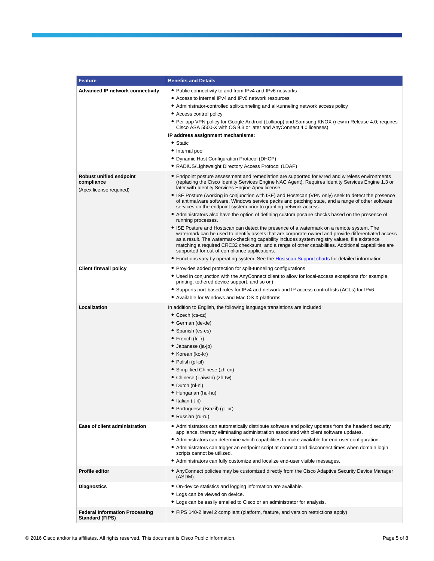| <b>Feature</b>                                                          | <b>Benefits and Details</b>                                                                                                                                                                                                                                                                                                                                                                                                                                                                                                                                                                                                                                                                                                                                                                                                                                                                                                                                                                                                                                                                                                                                                                                                                                                                   |
|-------------------------------------------------------------------------|-----------------------------------------------------------------------------------------------------------------------------------------------------------------------------------------------------------------------------------------------------------------------------------------------------------------------------------------------------------------------------------------------------------------------------------------------------------------------------------------------------------------------------------------------------------------------------------------------------------------------------------------------------------------------------------------------------------------------------------------------------------------------------------------------------------------------------------------------------------------------------------------------------------------------------------------------------------------------------------------------------------------------------------------------------------------------------------------------------------------------------------------------------------------------------------------------------------------------------------------------------------------------------------------------|
| <b>Advanced IP network connectivity</b>                                 | • Public connectivity to and from IPv4 and IPv6 networks<br>• Access to internal IPv4 and IPv6 network resources<br>• Administrator-controlled split-tunneling and all-tunneling network access policy<br>• Access control policy<br>• Per-app VPN policy for Google Android (Lollipop) and Samsung KNOX (new in Release 4.0; requires<br>Cisco ASA 5500-X with OS 9.3 or later and AnyConnect 4.0 licenses)<br>IP address assignment mechanisms:<br>• Static<br>• Internal pool<br>• Dynamic Host Configuration Protocol (DHCP)                                                                                                                                                                                                                                                                                                                                                                                                                                                                                                                                                                                                                                                                                                                                                              |
| <b>Robust unified endpoint</b><br>compliance<br>(Apex license required) | • RADIUS/Lightweight Directory Access Protocol (LDAP)<br>• Endpoint posture assessment and remediation are supported for wired and wireless environments<br>(replacing the Cisco Identity Services Engine NAC Agent). Requires Identity Services Engine 1.3 or<br>later with Identity Services Engine Apex license.<br>• ISE Posture (working in conjunction with ISE) and Hostscan (VPN only) seek to detect the presence<br>of antimalware software, Windows service packs and patching state, and a range of other software<br>services on the endpoint system prior to granting network access.<br>• Administrators also have the option of defining custom posture checks based on the presence of<br>running processes.<br>• ISE Posture and Hostscan can detect the presence of a watermark on a remote system. The<br>watermark can be used to identify assets that are corporate owned and provide differentiated access<br>as a result. The watermark-checking capability includes system registry values, file existence<br>matching a required CRC32 checksum, and a range of other capabilities. Additional capabilities are<br>supported for out-of-compliance applications.<br>• Functions vary by operating system. See the Hostscan Support charts for detailed information. |
| <b>Client firewall policy</b>                                           | • Provides added protection for split-tunneling configurations<br>• Used in conjunction with the AnyConnect client to allow for local-access exceptions (for example,<br>printing, tethered device support, and so on)<br>• Supports port-based rules for IPv4 and network and IP access control lists (ACLs) for IPv6<br>• Available for Windows and Mac OS X platforms                                                                                                                                                                                                                                                                                                                                                                                                                                                                                                                                                                                                                                                                                                                                                                                                                                                                                                                      |
| Localization                                                            | In addition to English, the following language translations are included:<br>$\bullet$ Czech (cs-cz)<br>• German (de-de)<br>• Spanish (es-es)<br>$\bullet$ French (fr-fr)<br>· Japanese (ja-jp)<br>• Korean (ko-kr)<br>• Polish (pl-pl)<br>• Simplified Chinese (zh-cn)<br>• Chinese (Taiwan) (zh-tw)<br>• Dutch (nl-nl)<br>• Hungarian (hu-hu)<br>• Italian (it-it)<br>• Portuguese (Brazil) (pt-br)<br>• Russian (ru-ru)                                                                                                                                                                                                                                                                                                                                                                                                                                                                                                                                                                                                                                                                                                                                                                                                                                                                    |
| Ease of client administration                                           | • Administrators can automatically distribute software and policy updates from the headend security<br>appliance, thereby eliminating administration associated with client software updates.<br>• Administrators can determine which capabilities to make available for end-user configuration.<br>• Administrators can trigger an endpoint script at connect and disconnect times when domain login<br>scripts cannot be utilized.<br>• Administrators can fully customize and localize end-user visible messages.                                                                                                                                                                                                                                                                                                                                                                                                                                                                                                                                                                                                                                                                                                                                                                          |
| <b>Profile editor</b>                                                   | • AnyConnect policies may be customized directly from the Cisco Adaptive Security Device Manager<br>(ASDM).                                                                                                                                                                                                                                                                                                                                                                                                                                                                                                                                                                                                                                                                                                                                                                                                                                                                                                                                                                                                                                                                                                                                                                                   |
| <b>Diagnostics</b>                                                      | • On-device statistics and logging information are available.<br>• Logs can be viewed on device.<br>• Logs can be easily emailed to Cisco or an administrator for analysis.                                                                                                                                                                                                                                                                                                                                                                                                                                                                                                                                                                                                                                                                                                                                                                                                                                                                                                                                                                                                                                                                                                                   |
| <b>Federal Information Processing</b><br><b>Standard (FIPS)</b>         | • FIPS 140-2 level 2 compliant (platform, feature, and version restrictions apply)                                                                                                                                                                                                                                                                                                                                                                                                                                                                                                                                                                                                                                                                                                                                                                                                                                                                                                                                                                                                                                                                                                                                                                                                            |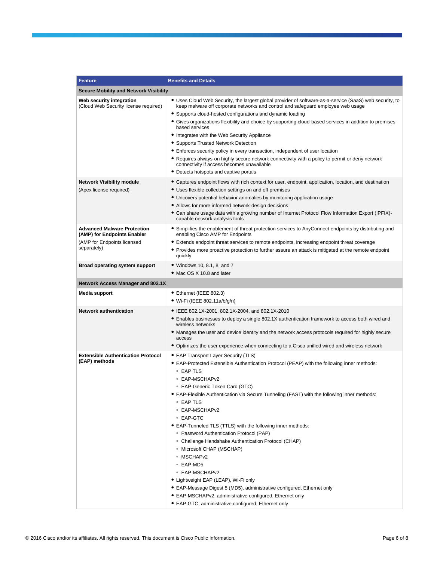| <b>Feature</b>                                                                                                  | <b>Benefits and Details</b>                                                                                                                                                                                                                                                                                                                                                                                                                                                                                                                                                                                                                                                                                                                                                                                                                        |
|-----------------------------------------------------------------------------------------------------------------|----------------------------------------------------------------------------------------------------------------------------------------------------------------------------------------------------------------------------------------------------------------------------------------------------------------------------------------------------------------------------------------------------------------------------------------------------------------------------------------------------------------------------------------------------------------------------------------------------------------------------------------------------------------------------------------------------------------------------------------------------------------------------------------------------------------------------------------------------|
| <b>Secure Mobility and Network Visibility</b>                                                                   |                                                                                                                                                                                                                                                                                                                                                                                                                                                                                                                                                                                                                                                                                                                                                                                                                                                    |
| Web security integration<br>(Cloud Web Security license required)                                               | • Uses Cloud Web Security, the largest global provider of software-as-a-service (SaaS) web security, to<br>keep malware off corporate networks and control and safeguard employee web usage<br>• Supports cloud-hosted configurations and dynamic loading<br>• Gives organizations flexibility and choice by supporting cloud-based services in addition to premises-<br>based services<br>• Integrates with the Web Security Appliance<br>• Supports Trusted Network Detection<br>• Enforces security policy in every transaction, independent of user location<br>• Requires always-on highly secure network connectivity with a policy to permit or deny network<br>connectivity if access becomes unavailable<br>• Detects hotspots and captive portals                                                                                        |
| <b>Network Visibility module</b><br>(Apex license required)                                                     | • Captures endpoint flows with rich context for user, endpoint, application, location, and destination<br>• Uses flexible collection settings on and off premises<br>• Uncovers potential behavior anomalies by monitoring application usage<br>• Allows for more informed network-design decisions<br>• Can share usage data with a growing number of Internet Protocol Flow Information Export (IPFIX)-<br>capable network-analysis tools                                                                                                                                                                                                                                                                                                                                                                                                        |
| <b>Advanced Malware Protection</b><br>(AMP) for Endpoints Enabler<br>(AMP for Endpoints licensed<br>separately) | • Simplifies the enablement of threat protection services to AnyConnect endpoints by distributing and<br>enabling Cisco AMP for Endpoints<br>• Extends endpoint threat services to remote endpoints, increasing endpoint threat coverage<br>• Provides more proactive protection to further assure an attack is mitigated at the remote endpoint<br>quickly                                                                                                                                                                                                                                                                                                                                                                                                                                                                                        |
| Broad operating system support                                                                                  | • Windows 10, 8.1, 8, and 7<br>• Mac OS X 10.8 and later                                                                                                                                                                                                                                                                                                                                                                                                                                                                                                                                                                                                                                                                                                                                                                                           |
| <b>Network Access Manager and 802.1X</b>                                                                        |                                                                                                                                                                                                                                                                                                                                                                                                                                                                                                                                                                                                                                                                                                                                                                                                                                                    |
| Media support                                                                                                   | • Ethernet (IEEE 802.3)<br>• Wi-Fi (IEEE 802.11a/b/g/n)                                                                                                                                                                                                                                                                                                                                                                                                                                                                                                                                                                                                                                                                                                                                                                                            |
| <b>Network authentication</b>                                                                                   | • IEEE 802.1X-2001, 802.1X-2004, and 802.1X-2010<br>• Enables businesses to deploy a single 802.1X authentication framework to access both wired and<br>wireless networks<br>• Manages the user and device identity and the network access protocols required for highly secure<br>access<br>• Optimizes the user experience when connecting to a Cisco unified wired and wireless network                                                                                                                                                                                                                                                                                                                                                                                                                                                         |
| <b>Extensible Authentication Protocol</b><br>(EAP) methods                                                      | • EAP Transport Layer Security (TLS)<br>• EAP-Protected Extensible Authentication Protocol (PEAP) with the following inner methods:<br>$\circ$ EAP TLS<br>○ EAP-MSCHAPv2<br>○ EAP-Generic Token Card (GTC)<br>• EAP-Flexible Authentication via Secure Tunneling (FAST) with the following inner methods:<br>∘ EAP TLS<br>∘ EAP-MSCHAPv2<br>∘ EAP-GTC<br>• EAP-Tunneled TLS (TTLS) with the following inner methods:<br><sup>o</sup> Password Authentication Protocol (PAP)<br>○ Challenge Handshake Authentication Protocol (CHAP)<br>◦ Microsoft CHAP (MSCHAP)<br>∘ MSCHAPv2<br>∘ EAP-MD5<br>○ EAP-MSCHAPv2<br>• Lightweight EAP (LEAP), Wi-Fi only<br>• EAP-Message Digest 5 (MD5), administrative configured, Ethernet only<br>• EAP-MSCHAPv2, administrative configured, Ethernet only<br>• EAP-GTC, administrative configured, Ethernet only |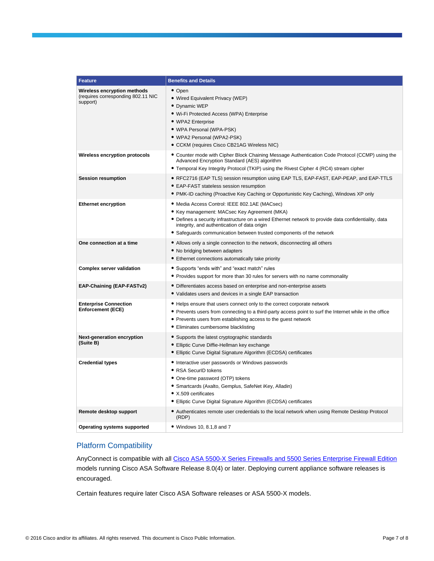| <b>Feature</b>                                                                | <b>Benefits and Details</b>                                                                                                                                                                                                                                                                                                    |
|-------------------------------------------------------------------------------|--------------------------------------------------------------------------------------------------------------------------------------------------------------------------------------------------------------------------------------------------------------------------------------------------------------------------------|
| Wireless encryption methods<br>(requires corresponding 802.11 NIC<br>support) | • Open<br>• Wired Equivalent Privacy (WEP)<br>• Dynamic WEP<br>· Wi-Fi Protected Access (WPA) Enterprise<br>• WPA2 Enterprise<br>• WPA Personal (WPA-PSK)<br>• WPA2 Personal (WPA2-PSK)<br>• CCKM (requires Cisco CB21AG Wireless NIC)                                                                                         |
| Wireless encryption protocols                                                 | • Counter mode with Cipher Block Chaining Message Authentication Code Protocol (CCMP) using the<br>Advanced Encryption Standard (AES) algorithm<br>• Temporal Key Integrity Protocol (TKIP) using the Rivest Cipher 4 (RC4) stream cipher                                                                                      |
| <b>Session resumption</b>                                                     | ● RFC2716 (EAP TLS) session resumption using EAP TLS, EAP-FAST, EAP-PEAP, and EAP-TTLS<br>• EAP-FAST stateless session resumption<br>• PMK-ID caching (Proactive Key Caching or Opportunistic Key Caching), Windows XP only                                                                                                    |
| <b>Ethernet encryption</b>                                                    | • Media Access Control: IEEE 802.1AE (MACsec)<br>• Key management: MACsec Key Agreement (MKA)<br>• Defines a security infrastructure on a wired Ethernet network to provide data confidentiality, data<br>integrity, and authentication of data origin<br>• Safeguards communication between trusted components of the network |
| One connection at a time                                                      | • Allows only a single connection to the network, disconnecting all others<br>• No bridging between adapters<br>• Ethernet connections automatically take priority                                                                                                                                                             |
| <b>Complex server validation</b>                                              | • Supports "ends with" and "exact match" rules<br>• Provides support for more than 30 rules for servers with no name commonality                                                                                                                                                                                               |
| EAP-Chaining (EAP-FASTv2)                                                     | • Differentiates access based on enterprise and non-enterprise assets<br>• Validates users and devices in a single EAP transaction                                                                                                                                                                                             |
| <b>Enterprise Connection</b><br><b>Enforcement (ECE)</b>                      | • Helps ensure that users connect only to the correct corporate network<br>• Prevents users from connecting to a third-party access point to surf the Internet while in the office<br>• Prevents users from establishing access to the guest network<br>• Eliminates cumbersome blacklisting                                   |
| Next-generation encryption<br>(Suite B)                                       | • Supports the latest cryptographic standards<br>• Elliptic Curve Diffie-Hellman key exchange<br>• Elliptic Curve Digital Signature Algorithm (ECDSA) certificates                                                                                                                                                             |
| <b>Credential types</b>                                                       | • Interactive user passwords or Windows passwords<br>• RSA SecurID tokens<br>• One-time password (OTP) tokens<br>• Smartcards (Axalto, Gemplus, SafeNet iKey, Alladin)<br>• X.509 certificates<br>• Elliptic Curve Digital Signature Algorithm (ECDSA) certificates                                                            |
| Remote desktop support                                                        | • Authenticates remote user credentials to the local network when using Remote Desktop Protocol<br>(RDP)                                                                                                                                                                                                                       |
| Operating systems supported                                                   | • Windows 10, 8.1.8 and 7                                                                                                                                                                                                                                                                                                      |

## Platform Compatibility

AnyConnect is compatible with al[l Cisco ASA 5500-X](http://www.cisco.com/go/asa) Series Firewalls and 5500 Series Enterprise Firewall Edition models running Cisco ASA Software Release 8.0(4) or later. Deploying current appliance software releases is encouraged.

Certain features require later Cisco ASA Software releases or ASA 5500-X models.